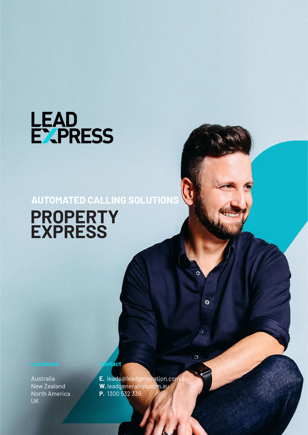

## **AUTOMATED CALLING SOLUTIONS PROPERTY EXPRESS**

Australia New Zealand North America UK

**E.** leads@leadgeneration.com.au **W.** leadgeneration.com.au **P.** 1300 532 339

 $\ddot{\mathbf{o}}$ 

 $\Omega$ 

**Contact**